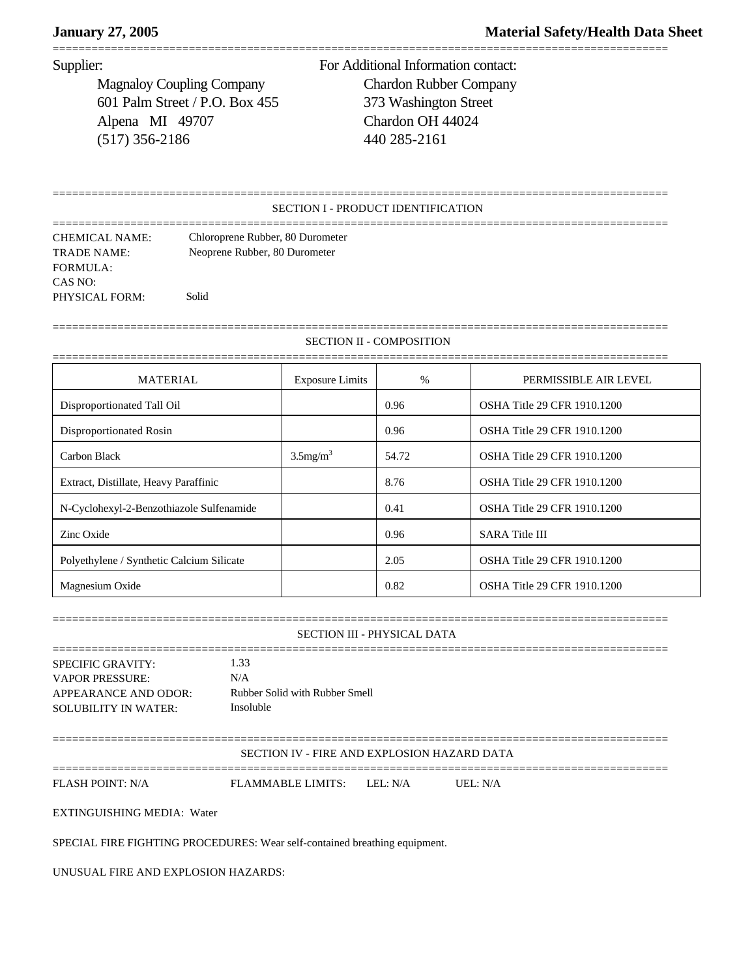# **January 27, 2005 Material Safety/Health Data Sheet**

===============================================================================================

Magnaloy Coupling Company Chardon Rubber Company 601 Palm Street / P.O. Box 455 373 Washington Street Alpena MI 49707 Chardon OH 44024 (517) 356-2186 440 285-2161

Supplier: For Additional Information contact:

## SECTION I - PRODUCT IDENTIFICATION

===============================================================================================

=============================================================================================== CHEMICAL NAME: Chloroprene Rubber, 80 Durometer TRADE NAME: Neoprene Rubber, 80 Durometer FORMULA: CAS NO: PHYSICAL FORM: Solid

SECTION II - COMPOSITION

===============================================================================================

| <b>MATERIAL</b>                           | <b>Exposure Limits</b>  | $\%$  | PERMISSIBLE AIR LEVEL              |
|-------------------------------------------|-------------------------|-------|------------------------------------|
| Disproportionated Tall Oil                |                         | 0.96  | OSHA Title 29 CFR 1910.1200        |
| Disproportionated Rosin                   |                         | 0.96  | <b>OSHA Title 29 CFR 1910.1200</b> |
| Carbon Black                              | $3.5$ mg/m <sup>3</sup> | 54.72 | <b>OSHA Title 29 CFR 1910.1200</b> |
| Extract, Distillate, Heavy Paraffinic     |                         | 8.76  | <b>OSHA Title 29 CFR 1910.1200</b> |
| N-Cyclohexyl-2-Benzothiazole Sulfenamide  |                         | 0.41  | <b>OSHA Title 29 CFR 1910.1200</b> |
| Zinc Oxide                                |                         | 0.96  | <b>SARA Title III</b>              |
| Polyethylene / Synthetic Calcium Silicate |                         | 2.05  | <b>OSHA Title 29 CFR 1910.1200</b> |
| Magnesium Oxide                           |                         | 0.82  | OSHA Title 29 CFR 1910.1200        |

===============================================================================================

### SECTION III - PHYSICAL DATA

=============================================================================================== SPECIFIC GRAVITY: 1.33 VAPOR PRESSURE: N/A APPEARANCE AND ODOR: Rubber Solid with Rubber Smell SOLUBILITY IN WATER: Insoluble

===============================================================================================

SECTION IV - FIRE AND EXPLOSION HAZARD DATA

===============================================================================================

FLASH POINT: N/A FLAMMABLE LIMITS: LEL: N/A UEL: N/A

EXTINGUISHING MEDIA: Water

SPECIAL FIRE FIGHTING PROCEDURES: Wear self-contained breathing equipment.

UNUSUAL FIRE AND EXPLOSION HAZARDS: